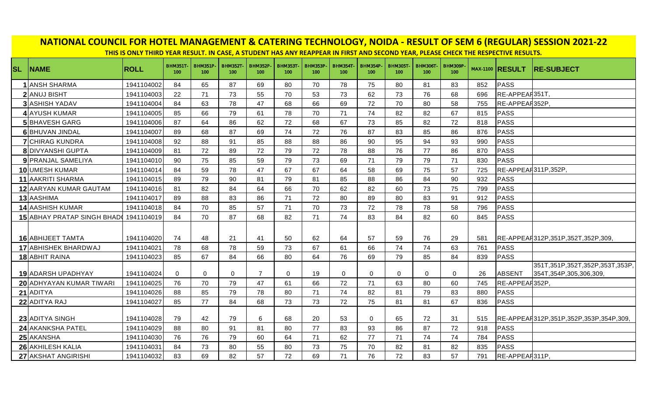| NATIONAL COUNCIL FOR HOTEL MANAGEMENT & CATERING TECHNOLOGY, NOIDA - RESULT OF SEM 6 (REGULAR) SESSION 2021-22<br>THIS IS ONLY THIRD YEAR RESULT. IN CASE, A STUDENT HAS ANY REAPPEAR IN FIRST AND SECOND YEAR, PLEASE CHECK THE RESPECTIVE RESULTS. |                             |             |                       |                       |                       |                       |                       |                       |                       |                       |                        |                       |                       |     |                        |                                                                   |
|------------------------------------------------------------------------------------------------------------------------------------------------------------------------------------------------------------------------------------------------------|-----------------------------|-------------|-----------------------|-----------------------|-----------------------|-----------------------|-----------------------|-----------------------|-----------------------|-----------------------|------------------------|-----------------------|-----------------------|-----|------------------------|-------------------------------------------------------------------|
|                                                                                                                                                                                                                                                      |                             |             |                       |                       |                       |                       |                       |                       |                       |                       |                        |                       |                       |     |                        |                                                                   |
| <b>SL</b>                                                                                                                                                                                                                                            | <b>NAME</b>                 | <b>ROLL</b> | <b>BHM351T</b><br>100 | <b>BHM351P</b><br>100 | <b>BHM352T</b><br>100 | <b>BHM352P</b><br>100 | <b>BHM353T</b><br>100 | <b>BHM353P</b><br>100 | <b>BHM354T</b><br>100 | <b>BHM354P</b><br>100 | <b>BHM305T-</b><br>100 | <b>BHM306T</b><br>100 | <b>BHM309P</b><br>100 |     | <b>MAX-1100 RESULT</b> | <b>RE-SUBJECT</b>                                                 |
|                                                                                                                                                                                                                                                      | <b>1</b> ANSH SHARMA        | 1941104002  | 84                    | 65                    | 87                    | 69                    | 80                    | 70                    | 78                    | 75                    | 80                     | 81                    | 83                    | 852 | PASS                   |                                                                   |
|                                                                                                                                                                                                                                                      | 2 ANUJ BISHT                | 1941104003  | 22                    | 71                    | 73                    | 55                    | 70                    | 53                    | 73                    | 62                    | 73                     | 76                    | 68                    | 696 | RE-APPEAR351T          |                                                                   |
|                                                                                                                                                                                                                                                      | <b>3</b> ASHISH YADAV       | 1941104004  | 84                    | 63                    | 78                    | 47                    | 68                    | 66                    | 69                    | 72                    | 70                     | 80                    | 58                    | 755 | RE-APPEAR352P,         |                                                                   |
|                                                                                                                                                                                                                                                      | 4 AYUSH KUMAR               | 1941104005  | 85                    | 66                    | 79                    | 61                    | 78                    | 70                    | 71                    | 74                    | 82                     | 82                    | 67                    | 815 | PASS                   |                                                                   |
|                                                                                                                                                                                                                                                      | <b>5</b> BHAVESH GARG       | 1941104006  | 87                    | 64                    | 86                    | 62                    | 72                    | 68                    | 67                    | 73                    | 85                     | 82                    | 72                    | 818 | PASS                   |                                                                   |
|                                                                                                                                                                                                                                                      | 6 BHUVAN JINDAL             | 1941104007  | 89                    | 68                    | 87                    | 69                    | 74                    | 72                    | 76                    | 87                    | 83                     | 85                    | 86                    | 876 | PASS                   |                                                                   |
|                                                                                                                                                                                                                                                      | <b>7</b> CHIRAG KUNDRA      | 1941104008  | 92                    | 88                    | 91                    | 85                    | 88                    | 88                    | 86                    | 90                    | 95                     | 94                    | 93                    | 990 | PASS                   |                                                                   |
|                                                                                                                                                                                                                                                      | <b>8</b> DIVYANSHI GUPTA    | 1941104009  | 81                    | 72                    | 89                    | 72                    | 79                    | 72                    | 78                    | 88                    | 76                     | 77                    | 86                    | 870 | PASS                   |                                                                   |
|                                                                                                                                                                                                                                                      | 9 PRANJAL SAMELIYA          | 1941104010  | 90                    | 75                    | 85                    | 59                    | 79                    | 73                    | 69                    | 71                    | 79                     | 79                    | 71                    | 830 | PASS                   |                                                                   |
|                                                                                                                                                                                                                                                      | 10 UMESH KUMAR              | 1941104014  | 84                    | 59                    | 78                    | 47                    | 67                    | 67                    | 64                    | 58                    | 69                     | 75                    | 57                    | 725 | RE-APPEAR311P,352P.    |                                                                   |
|                                                                                                                                                                                                                                                      | 11 AAKRITI SHARMA           | 1941104015  | 89                    | 79                    | 90                    | 81                    | 79                    | 81                    | 85                    | 88                    | 86                     | 84                    | 90                    | 932 | PASS                   |                                                                   |
|                                                                                                                                                                                                                                                      | 12 AARYAN KUMAR GAUTAM      | 1941104016  | 81                    | 82                    | 84                    | 64                    | 66                    | 70                    | 62                    | 82                    | 60                     | 73                    | 75                    | 799 | PASS                   |                                                                   |
|                                                                                                                                                                                                                                                      | 13 AASHIMA                  | 1941104017  | 89                    | 88                    | 83                    | 86                    | 71                    | 72                    | 80                    | 89                    | 80                     | 83                    | 91                    | 912 | PASS                   |                                                                   |
|                                                                                                                                                                                                                                                      | <b>14 AASHISH KUMAR</b>     | 1941104018  | 84                    | 70                    | 85                    | 57                    | 71                    | 70                    | 73                    | 72                    | 78                     | 78                    | 58                    | 796 | PASS                   |                                                                   |
|                                                                                                                                                                                                                                                      | 15 ABHAY PRATAP SINGH BHADO | 1941104019  | 84                    | 70                    | 87                    | 68                    | 82                    | 71                    | 74                    | 83                    | 84                     | 82                    | 60                    | 845 | PASS                   |                                                                   |
|                                                                                                                                                                                                                                                      | <b>16</b> ABHIJEET TAMTA    | 1941104020  | 74                    | 48                    | 21                    | 41                    | 50                    | 62                    | 64                    | 57                    | 59                     | 76                    | 29                    | 581 |                        | RE-APPEAR312P,351P,352T,352P,309,                                 |
|                                                                                                                                                                                                                                                      | 17 ABHISHEK BHARDWAJ        | 1941104021  | 78                    | 68                    | 78                    | 59                    | 73                    | 67                    | 61                    | 66                    | 74                     | 74                    | 63                    | 761 | PASS                   |                                                                   |
|                                                                                                                                                                                                                                                      | 18 ABHIT RAINA              | 1941104023  | 85                    | 67                    | 84                    | 66                    | 80                    | 64                    | 76                    | 69                    | 79                     | 85                    | 84                    | 839 | PASS                   |                                                                   |
|                                                                                                                                                                                                                                                      | <b>19 ADARSH UPADHYAY</b>   | 1941104024  | $\mathbf 0$           | $\mathbf 0$           | $\mathbf 0$           | 7                     | 0                     | 19                    | $\Omega$              | 0                     | $\mathbf 0$            | $\mathbf 0$           | $\mathbf 0$           | 26  | ABSENT                 | 351T, 351P, 352T, 352P, 353T, 353P,<br>354T, 354P, 305, 306, 309, |
|                                                                                                                                                                                                                                                      | 20 ADHYAYAN KUMAR TIWARI    | 1941104025  | 76                    | 70                    | 79                    | 47                    | 61                    | 66                    | 72                    | 71                    | 63                     | 80                    | 60                    | 745 | RE-APPEAR352P          |                                                                   |
|                                                                                                                                                                                                                                                      | 21 ADITYA                   | 1941104026  | 88                    | 85                    | 79                    | 78                    | 80                    | 71                    | 74                    | 82                    | 81                     | 79                    | 83                    | 880 | PASS                   |                                                                   |
|                                                                                                                                                                                                                                                      | 22 ADITYA RAJ               | 1941104027  | 85                    | 77                    | 84                    | 68                    | 73                    | 73                    | 72                    | 75                    | 81                     | 81                    | 67                    | 836 | PASS                   |                                                                   |
|                                                                                                                                                                                                                                                      | 23 ADITYA SINGH             | 1941104028  | 79                    | 42                    | 79                    | 6                     | 68                    | 20                    | 53                    | $\mathbf 0$           | 65                     | 72                    | 31                    | 515 |                        | RE-APPEAR312P,351P,352P,353P,354P,309,                            |
|                                                                                                                                                                                                                                                      | 24 AKANKSHA PATEL           | 1941104029  | 88                    | 80                    | 91                    | 81                    | 80                    | 77                    | 83                    | 93                    | 86                     | 87                    | 72                    | 918 | PASS                   |                                                                   |
|                                                                                                                                                                                                                                                      | 25 AKANSHA                  | 1941104030  | 76                    | 76                    | 79                    | 60                    | 64                    | 71                    | 62                    | 77                    | 71                     | 74                    | 74                    | 784 | PASS                   |                                                                   |
|                                                                                                                                                                                                                                                      | 26 AKHILESH KALIA           | 1941104031  | 84                    | 73                    | 80                    | 55                    | 80                    | 73                    | 75                    | 70                    | 82                     | 81                    | 82                    | 835 | PASS                   |                                                                   |
|                                                                                                                                                                                                                                                      | 27 AKSHAT ANGIRISHI         | 1941104032  | 83                    | 69                    | 82                    | 57                    | 72                    | 69                    | 71                    | 76                    | 72                     | 83                    | 57                    | 791 | RE-APPEAR311P,         |                                                                   |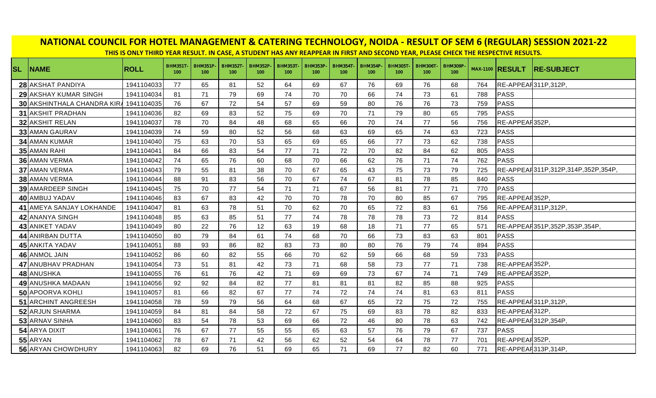| NATIONAL COUNCIL FOR HOTEL MANAGEMENT & CATERING TECHNOLOGY, NOIDA - RESULT OF SEM 6 (REGULAR) SESSION 2021-22 | THIS IS ONLY THIRD YEAR RESULT. IN CASE, A STUDENT HAS ANY REAPPEAR IN FIRST AND SECOND YEAR, PLEASE CHECK THE RESPECTIVE RESULTS. |                       |                        |                       |                       |                       |                       |                                    |                        |                       |                                    |                       |     |                        |                                    |
|----------------------------------------------------------------------------------------------------------------|------------------------------------------------------------------------------------------------------------------------------------|-----------------------|------------------------|-----------------------|-----------------------|-----------------------|-----------------------|------------------------------------|------------------------|-----------------------|------------------------------------|-----------------------|-----|------------------------|------------------------------------|
| <b>SL NAME</b>                                                                                                 | <b>ROLL</b>                                                                                                                        | <b>BHM351T</b><br>100 | <b>BHM351P-</b><br>100 | <b>BHM352T</b><br>100 | <b>BHM352P</b><br>100 | <b>BHM353T</b><br>100 | <b>BHM353P</b><br>100 | <b>BHM354T</b><br>100 <sub>1</sub> | <b>BHM354P-</b><br>100 | <b>BHM305T</b><br>100 | <b>BHM306T</b><br>100 <sub>1</sub> | <b>BHM309P</b><br>100 |     | <b>MAX-1100 RESULT</b> | <b>RE-SUBJECT</b>                  |
| 28 AKSHAT PANDIYA                                                                                              | 1941104033                                                                                                                         | 77                    | 65                     | 81                    | 52                    | 64                    | 69                    | 67                                 | 76                     | 69                    | 76                                 | 68                    | 764 | RE-APPEAR311P,312P,    |                                    |
| 29 AKSHAY KUMAR SINGH                                                                                          | 1941104034                                                                                                                         | 81                    | 71                     | 79                    | 69                    | 74                    | 70                    | 70                                 | 66                     | 74                    | 73                                 | 61                    | 788 | PASS                   |                                    |
| 30 AKSHINTHALA CHANDRA KIRA                                                                                    | 1941104035                                                                                                                         | 76                    | 67                     | 72                    | 54                    | 57                    | 69                    | 59                                 | 80                     | 76                    | 76                                 | 73                    | 759 | PASS                   |                                    |
| <b>31 AKSHIT PRADHAN</b>                                                                                       | 1941104036                                                                                                                         | 82                    | 69                     | 83                    | 52                    | 75                    | 69                    | 70                                 | 71                     | 79                    | 80                                 | 65                    | 795 | PASS                   |                                    |
| 32 AKSHIT RELAN                                                                                                | 1941104037                                                                                                                         | 78                    | 70                     | 84                    | 48                    | 68                    | 65                    | 66                                 | 70                     | 74                    | 77                                 | 56                    | 756 | RE-APPEAR352P.         |                                    |
| <b>33 AMAN GAURAV</b>                                                                                          | 1941104039                                                                                                                         | 74                    | 59                     | 80                    | 52                    | 56                    | 68                    | 63                                 | 69                     | 65                    | 74                                 | 63                    | 723 | PASS                   |                                    |
| 34 AMAN KUMAR                                                                                                  | 1941104040                                                                                                                         | 75                    | 63                     | 70                    | 53                    | 65                    | 69                    | 65                                 | 66                     | 77                    | 73                                 | 62                    | 738 | PASS                   |                                    |
| 35 AMAN RAHI                                                                                                   | 1941104041                                                                                                                         | 84                    | 66                     | 83                    | 54                    | 77                    | 71                    | 72                                 | 70                     | 82                    | 84                                 | 62                    | 805 | PASS                   |                                    |
| 36 AMAN VERMA                                                                                                  | 1941104042                                                                                                                         | 74                    | 65                     | 76                    | 60                    | 68                    | 70                    | 66                                 | 62                     | 76                    | 71                                 | 74                    | 762 | <b>PASS</b>            |                                    |
| 37 AMAN VERMA                                                                                                  | 1941104043                                                                                                                         | 79                    | 55                     | 81                    | 38                    | 70                    | 67                    | 65                                 | 43                     | 75                    | 73                                 | 79                    | 725 |                        | RE-APPEAR311P,312P,314P,352P,354P, |
| <b>38 AMAN VERMA</b>                                                                                           | 1941104044                                                                                                                         | 88                    | 91                     | 83                    | 56                    | 70                    | 67                    | 74                                 | 67                     | 81                    | 78                                 | 85                    | 840 | PASS                   |                                    |
| <b>39 AMARDEEP SINGH</b>                                                                                       | 1941104045                                                                                                                         | 75                    | 70                     | 77                    | 54                    | 71                    | 71                    | 67                                 | 56                     | 81                    | 77                                 | 71                    | 770 | PASS                   |                                    |
| 40 AMBUJ YADAV                                                                                                 | 1941104046                                                                                                                         | 83                    | 67                     | 83                    | 42                    | 70                    | 70                    | 78                                 | 70                     | 80                    | 85                                 | 67                    | 795 | RE-APPEAR352P.         |                                    |
| 41 AMEYA SANJAY LOKHANDE                                                                                       | 1941104047                                                                                                                         | 81                    | 63                     | 78                    | 51                    | 70                    | 62                    | 70                                 | 65                     | 72                    | 83                                 | 61                    | 756 | RE-APPEAR311P,312P,    |                                    |
| 42 ANANYA SINGH                                                                                                | 1941104048                                                                                                                         | 85                    | 63                     | 85                    | 51                    | 77                    | 74                    | 78                                 | 78                     | 78                    | 73                                 | 72                    | 814 | PASS                   |                                    |
| 43 ANIKET YADAV                                                                                                | 1941104049                                                                                                                         | 80                    | 22                     | 76                    | 12                    | 63                    | 19                    | 68                                 | 18                     | 71                    | 77                                 | 65                    | 571 |                        | RE-APPEAF351P,352P,353P,354P,      |
| 44 ANIRBAN DUTTA                                                                                               | 1941104050                                                                                                                         | 80                    | 79                     | 84                    | 61                    | 74                    | 68                    | 70                                 | 66                     | 73                    | 83                                 | 63                    | 801 | PASS                   |                                    |
| 45 ANKITA YADAV                                                                                                | 1941104051                                                                                                                         | 88                    | 93                     | 86                    | 82                    | 83                    | 73                    | 80                                 | 80                     | 76                    | 79                                 | 74                    | 894 | PASS                   |                                    |
| 46 ANMOL JAIN                                                                                                  | 1941104052                                                                                                                         | 86                    | 60                     | 82                    | 55                    | 66                    | 70                    | 62                                 | 59                     | 66                    | 68                                 | 59                    | 733 | PASS                   |                                    |
| 47 ANUBHAV PRADHAN                                                                                             | 1941104054                                                                                                                         | 73                    | 51                     | 81                    | 42                    | 73                    | 71                    | 68                                 | 58                     | 73                    | 77                                 | 71                    | 738 | RE-APPEAR352P.         |                                    |
| 48 ANUSHKA                                                                                                     | 1941104055                                                                                                                         | 76                    | 61                     | 76                    | 42                    | 71                    | 69                    | 69                                 | 73                     | 67                    | 74                                 | 71                    | 749 | RE-APPEAR352P.         |                                    |
| 49 ANUSHKA MADAAN                                                                                              | 1941104056                                                                                                                         | 92                    | 92                     | 84                    | 82                    | 77                    | 81                    | 81                                 | 81                     | 82                    | 85                                 | 88                    | 925 | PASS                   |                                    |
| 50 APOORVA KOHLI                                                                                               | 1941104057                                                                                                                         | 81                    | 66                     | 82                    | 67                    | 77                    | 74                    | 72                                 | 74                     | 74                    | 81                                 | 63                    | 811 | PASS                   |                                    |
| 51 ARCHINT ANGREESH                                                                                            | 1941104058                                                                                                                         | 78                    | 59                     | 79                    | 56                    | 64                    | 68                    | 67                                 | 65                     | 72                    | 75                                 | 72                    | 755 | RE-APPEAR311P,312P,    |                                    |
| 52 ARJUN SHARMA                                                                                                | 1941104059                                                                                                                         | 84                    | 81                     | 84                    | 58                    | 72                    | 67                    | 75                                 | 69                     | 83                    | 78                                 | 82                    | 833 | RE-APPEAR312P,         |                                    |
| 53 ARNAV SINHA                                                                                                 | 1941104060                                                                                                                         | 83                    | 54                     | 78                    | 53                    | 69                    | 66                    | 72                                 | 46                     | 80                    | 78                                 | 63                    | 742 | RE-APPEAR312P,354P,    |                                    |
| 54 ARYA DIXIT                                                                                                  | 1941104061                                                                                                                         | 76                    | 67                     | 77                    | 55                    | 55                    | 65                    | 63                                 | 57                     | 76                    | 79                                 | 67                    | 737 | PASS                   |                                    |
| 55 ARYAN                                                                                                       | 1941104062                                                                                                                         | 78                    | 67                     | 71                    | 42                    | 56                    | 62                    | 52                                 | 54                     | 64                    | 78                                 | 77                    | 701 | RE-APPEAR352P,         |                                    |
| 56 ARYAN CHOWDHURY                                                                                             | 1941104063                                                                                                                         | 82                    | 69                     | 76                    | 51                    | 69                    | 65                    | 71                                 | 69                     | 77                    | 82                                 | 60                    | 771 | RE-APPEAR313P,314P,    |                                    |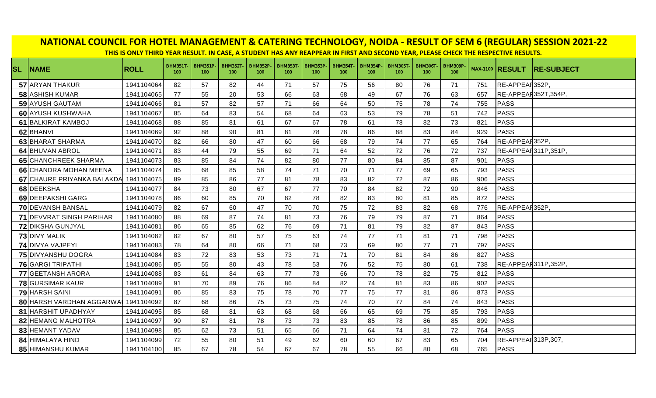| NATIONAL COUNCIL FOR HOTEL MANAGEMENT & CATERING TECHNOLOGY, NOIDA - RESULT OF SEM 6 (REGULAR) SESSION 2021-22<br>THIS IS ONLY THIRD YEAR RESULT. IN CASE, A STUDENT HAS ANY REAPPEAR IN FIRST AND SECOND YEAR, PLEASE CHECK THE RESPECTIVE RESULTS. |             |                       |                       |                       |                        |                       |                        |                                     |                        |                        |                       |                                    |     |                        |                   |
|------------------------------------------------------------------------------------------------------------------------------------------------------------------------------------------------------------------------------------------------------|-------------|-----------------------|-----------------------|-----------------------|------------------------|-----------------------|------------------------|-------------------------------------|------------------------|------------------------|-----------------------|------------------------------------|-----|------------------------|-------------------|
| <b>SL NAME</b>                                                                                                                                                                                                                                       | <b>ROLL</b> | <b>BHM351T</b><br>100 | <b>BHM351P</b><br>100 | <b>BHM352T</b><br>100 | <b>BHM352P-</b><br>100 | <b>BHM353T</b><br>100 | <b>BHM353P-</b><br>100 | <b>BHM354T-</b><br>100 <sub>1</sub> | <b>BHM354P-</b><br>100 | <b>BHM305T-</b><br>100 | <b>BHM306T</b><br>100 | <b>BHM309P</b><br>100 <sub>1</sub> |     | <b>MAX-1100 RESULT</b> | <b>RE-SUBJECT</b> |
| 57 ARYAN THAKUR                                                                                                                                                                                                                                      | 1941104064  | 82                    | 57                    | 82                    | 44                     | 71                    | 57                     | 75                                  | 56                     | 80                     | 76                    | 71                                 | 751 | RE-APPEAR352P,         |                   |
| <b>58 ASHISH KUMAR</b>                                                                                                                                                                                                                               | 1941104065  | 77                    | 55                    | 20                    | 53                     | 66                    | 63                     | 68                                  | 49                     | 67                     | 76                    | 63                                 | 657 | RE-APPEAR352T,354P     |                   |
| 59 AYUSH GAUTAM                                                                                                                                                                                                                                      | 1941104066  | 81                    | 57                    | 82                    | 57                     | 71                    | 66                     | 64                                  | 50                     | 75                     | 78                    | 74                                 | 755 | PASS                   |                   |
| <b>60</b> AYUSH KUSHWAHA                                                                                                                                                                                                                             | 1941104067  | 85                    | 64                    | 83                    | 54                     | 68                    | 64                     | 63                                  | 53                     | 79                     | 78                    | 51                                 | 742 | PASS                   |                   |
| 61 BALKIRAT KAMBOJ                                                                                                                                                                                                                                   | 1941104068  | 88                    | 85                    | 81                    | 61                     | 67                    | 67                     | 78                                  | 61                     | 78                     | 82                    | 73                                 | 821 | PASS                   |                   |
| 62 BHANVI                                                                                                                                                                                                                                            | 1941104069  | 92                    | 88                    | 90                    | 81                     | 81                    | 78                     | 78                                  | 86                     | 88                     | 83                    | 84                                 | 929 | PASS                   |                   |
| 63 BHARAT SHARMA                                                                                                                                                                                                                                     | 1941104070  | 82                    | 66                    | 80                    | 47                     | 60                    | 66                     | 68                                  | 79                     | 74                     | 77                    | 65                                 | 764 | RE-APPEAR352P          |                   |
| 64 BHUVAN ABROL                                                                                                                                                                                                                                      | 1941104071  | 83                    | 44                    | 79                    | 55                     | 69                    | 71                     | 64                                  | 52                     | 72                     | 76                    | 72                                 | 737 | RE-APPEAR311P,351P,    |                   |
| <b>65 CHANCHREEK SHARMA</b>                                                                                                                                                                                                                          | 1941104073  | 83                    | 85                    | 84                    | 74                     | 82                    | 80                     | 77                                  | 80                     | 84                     | 85                    | 87                                 | 901 | <b>PASS</b>            |                   |
| <b>66</b> CHANDRA MOHAN MEENA                                                                                                                                                                                                                        | 1941104074  | 85                    | 68                    | 85                    | 58                     | 74                    | 71                     | 70                                  | 71                     | 77                     | 69                    | 65                                 | 793 | PASS                   |                   |
| 67 CHAURE PRIYANKA BALAKDA                                                                                                                                                                                                                           | 1941104075  | 89                    | 85                    | 86                    | 77                     | 81                    | 78                     | 83                                  | 82                     | 72                     | 87                    | 86                                 | 906 | PASS                   |                   |
| 68 DEEKSHA                                                                                                                                                                                                                                           | 1941104077  | 84                    | 73                    | 80                    | 67                     | 67                    | 77                     | 70                                  | 84                     | 82                     | 72                    | 90                                 | 846 | PASS                   |                   |
| 69 DEEPAKSHI GARG                                                                                                                                                                                                                                    | 1941104078  | 86                    | 60                    | 85                    | 70                     | 82                    | 78                     | 82                                  | 83                     | 80                     | 81                    | 85                                 | 872 | PASS                   |                   |
| <b>70 DEVANSH BANSAL</b>                                                                                                                                                                                                                             | 1941104079  | 82                    | 67                    | 60                    | 47                     | 70                    | 70                     | 75                                  | 72                     | 83                     | 82                    | 68                                 | 776 | RE-APPEAR352P,         |                   |
| <b>71 DEVVRAT SINGH PARIHAR</b>                                                                                                                                                                                                                      | 1941104080  | 88                    | 69                    | 87                    | 74                     | 81                    | 73                     | 76                                  | 79                     | 79                     | 87                    | 71                                 | 864 | PASS                   |                   |
| <b>72 DIKSHA GUNJYAL</b>                                                                                                                                                                                                                             | 1941104081  | 86                    | 65                    | 85                    | 62                     | 76                    | 69                     | 71                                  | 81                     | 79                     | 82                    | 87                                 | 843 | PASS                   |                   |
| <b>73 DIVY MALIK</b>                                                                                                                                                                                                                                 | 1941104082  | 82                    | 67                    | 80                    | 57                     | 75                    | 63                     | 74                                  | 77                     | 71                     | 81                    | 71                                 | 798 | PASS                   |                   |
| <b>74 DIVYA VAJPEYI</b>                                                                                                                                                                                                                              | 1941104083  | 78                    | 64                    | 80                    | 66                     | 71                    | 68                     | 73                                  | 69                     | 80                     | 77                    | 71                                 | 797 | PASS                   |                   |
| 75 DIVYANSHU DOGRA                                                                                                                                                                                                                                   | 1941104084  | 83                    | 72                    | 83                    | 53                     | 73                    | 71                     | 71                                  | 70                     | 81                     | 84                    | 86                                 | 827 | PASS                   |                   |
| <b>76</b> GARGI TRIPATHI                                                                                                                                                                                                                             | 1941104086  | 85                    | 55                    | 80                    | 43                     | 78                    | 53                     | 76                                  | 52                     | 75                     | 80                    | 61                                 | 738 | RE-APPEAR311P,352P.    |                   |
| <b>77 GEETANSH ARORA</b>                                                                                                                                                                                                                             | 1941104088  | 83                    | 61                    | 84                    | 63                     | 77                    | 73                     | 66                                  | 70                     | 78                     | 82                    | 75                                 | 812 | PASS                   |                   |
| <b>78 GURSIMAR KAUR</b>                                                                                                                                                                                                                              | 1941104089  | 91                    | 70                    | 89                    | 76                     | 86                    | 84                     | 82                                  | 74                     | 81                     | 83                    | 86                                 | 902 | PASS                   |                   |
| <b>79 HARSH SAINI</b>                                                                                                                                                                                                                                | 1941104091  | 86                    | 85                    | 83                    | 75                     | 78                    | 70                     | 77                                  | 75                     | 77                     | 81                    | 86                                 | 873 | PASS                   |                   |
| 80 HARSH VARDHAN AGGARWAI                                                                                                                                                                                                                            | 1941104092  | 87                    | 68                    | 86                    | 75                     | 73                    | 75                     | 74                                  | 70                     | 77                     | 84                    | 74                                 | 843 | PASS                   |                   |
| 81 HARSHIT UPADHYAY                                                                                                                                                                                                                                  | 1941104095  | 85                    | 68                    | 81                    | 63                     | 68                    | 68                     | 66                                  | 65                     | 69                     | 75                    | 85                                 | 793 | PASS                   |                   |
| 82 HEMANG MALHOTRA                                                                                                                                                                                                                                   | 1941104097  | 90                    | 87                    | 81                    | 78                     | 73                    | 73                     | 83                                  | 85                     | 78                     | 86                    | 85                                 | 899 | PASS                   |                   |
| 83 HEMANT YADAV                                                                                                                                                                                                                                      | 1941104098  | 85                    | 62                    | 73                    | 51                     | 65                    | 66                     | 71                                  | 64                     | 74                     | 81                    | 72                                 | 764 | PASS                   |                   |
| 84 HIMALAYA HIND                                                                                                                                                                                                                                     | 1941104099  | 72                    | 55                    | 80                    | 51                     | 49                    | 62                     | 60                                  | 60                     | 67                     | 83                    | 65                                 | 704 | RE-APPEAR313P,307,     |                   |
| 85 HIMANSHU KUMAR                                                                                                                                                                                                                                    | 1941104100  | 85                    | 67                    | 78                    | 54                     | 67                    | 67                     | 78                                  | 55                     | 66                     | 80                    | 68                                 | 765 | PASS                   |                   |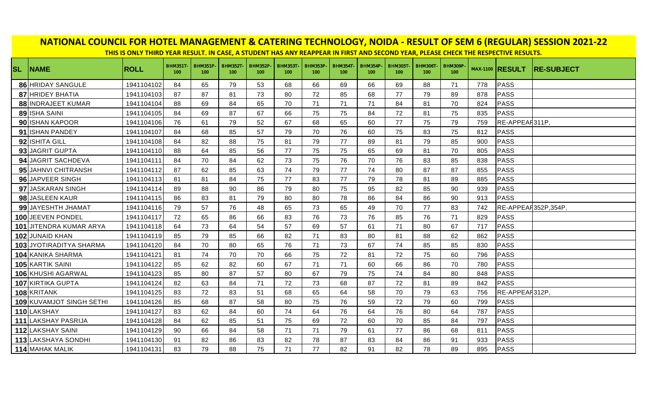| NATIONAL COUNCIL FOR HOTEL MANAGEMENT & CATERING TECHNOLOGY, NOIDA - RESULT OF SEM 6 (REGULAR) SESSION 2021-22<br>THIS IS ONLY THIRD YEAR RESULT. IN CASE, A STUDENT HAS ANY REAPPEAR IN FIRST AND SECOND YEAR, PLEASE CHECK THE RESPECTIVE RESULTS. |             |                        |                                    |                        |                        |                                    |                        |                        |                       |                       |                                     |                       |     |                        |                   |
|------------------------------------------------------------------------------------------------------------------------------------------------------------------------------------------------------------------------------------------------------|-------------|------------------------|------------------------------------|------------------------|------------------------|------------------------------------|------------------------|------------------------|-----------------------|-----------------------|-------------------------------------|-----------------------|-----|------------------------|-------------------|
| <b>SL NAME</b>                                                                                                                                                                                                                                       | <b>ROLL</b> | <b>BHM351T-</b><br>100 | <b>BHM351P</b><br>100 <sub>1</sub> | <b>BHM352T-</b><br>100 | <b>BHM352P-</b><br>100 | <b>BHM353T</b><br>100 <sub>1</sub> | <b>BHM353P-</b><br>100 | <b>BHM354T-</b><br>100 | <b>BHM354P</b><br>100 | <b>BHM305T</b><br>100 | <b>BHM306T-</b><br>100 <sub>1</sub> | <b>BHM309P</b><br>100 |     | <b>MAX-1100 RESULT</b> | <b>RE-SUBJECT</b> |
| 86 HRIDAY SANGULE                                                                                                                                                                                                                                    | 1941104102  | 84                     | 65                                 | 79                     | 53                     | 68                                 | 66                     | 69                     | 66                    | 69                    | 88                                  | 71                    | 778 | PASS                   |                   |
| 87 HRIDEY BHATIA                                                                                                                                                                                                                                     | 1941104103  | 87                     | 87                                 | 81                     | 73                     | 80                                 | 72                     | 85                     | 68                    | 77                    | 79                                  | 89                    | 878 | PASS                   |                   |
| 88 INDRAJEET KUMAR                                                                                                                                                                                                                                   | 1941104104  | 88                     | 69                                 | 84                     | 65                     | 70                                 | 71                     | 71                     | 71                    | 84                    | 81                                  | 70                    | 824 | PASS                   |                   |
| 89 ISHA SAINI                                                                                                                                                                                                                                        | 1941104105  | 84                     | 69                                 | 87                     | 67                     | 66                                 | 75                     | 75                     | 84                    | 72                    | 81                                  | 75                    | 835 | PASS                   |                   |
| 90 ISHAN KAPOOR                                                                                                                                                                                                                                      | 1941104106  | 76                     | 61                                 | 79                     | 52                     | 67                                 | 68                     | 65                     | 60                    | 77                    | 75                                  | 79                    | 759 | RE-APPEAR311P.         |                   |
| 91 ISHAN PANDEY                                                                                                                                                                                                                                      | 1941104107  | 84                     | 68                                 | 85                     | 57                     | 79                                 | 70                     | 76                     | 60                    | 75                    | 83                                  | 75                    | 812 | PASS                   |                   |
| 92 ISHITA GILL                                                                                                                                                                                                                                       | 1941104108  | 84                     | 82                                 | 88                     | 75                     | 81                                 | 79                     | 77                     | 89                    | 81                    | 79                                  | 85                    | 900 | PASS                   |                   |
| 93 JAGRIT GUPTA                                                                                                                                                                                                                                      | 1941104110  | 88                     | 64                                 | 85                     | 56                     | 77                                 | 75                     | 75                     | 65                    | 69                    | 81                                  | 70                    | 805 | PASS                   |                   |
| 94 JAGRIT SACHDEVA                                                                                                                                                                                                                                   | 1941104111  | 84                     | 70                                 | 84                     | 62                     | 73                                 | 75                     | 76                     | 70                    | 76                    | 83                                  | 85                    | 838 | PASS                   |                   |
| 95 JAHNVI CHITRANSH                                                                                                                                                                                                                                  | 1941104112  | 87                     | 62                                 | 85                     | 63                     | 74                                 | 79                     | 77                     | 74                    | 80                    | 87                                  | 87                    | 855 | PASS                   |                   |
| 96 JAPVEER SINGH                                                                                                                                                                                                                                     | 1941104113  | 81                     | 81                                 | 84                     | 75                     | 77                                 | 83                     | 77                     | 79                    | 78                    | 81                                  | 89                    | 885 | PASS                   |                   |
| 97 JASKARAN SINGH                                                                                                                                                                                                                                    | 1941104114  | 89                     | 88                                 | 90                     | 86                     | 79                                 | 80                     | 75                     | 95                    | 82                    | 85                                  | 90                    | 939 | PASS                   |                   |
| 98 JASLEEN KAUR                                                                                                                                                                                                                                      | 1941104115  | 86                     | 83                                 | 81                     | 79                     | 80                                 | 80                     | 78                     | 86                    | 84                    | 86                                  | 90                    | 913 | PASS                   |                   |
| 99 JAYESHTH JHAMAT                                                                                                                                                                                                                                   | 1941104116  | 79                     | 57                                 | 76                     | 48                     | 65                                 | 73                     | 65                     | 49                    | 70                    | 77                                  | 83                    | 742 | RE-APPEAR352P,354P,    |                   |
| 100 JEEVEN PONDEL                                                                                                                                                                                                                                    | 1941104117  | 72                     | 65                                 | 86                     | 66                     | 83                                 | 76                     | 73                     | 76                    | 85                    | 76                                  | 71                    | 829 | PASS                   |                   |
| 101 JITENDRA KUMAR ARYA                                                                                                                                                                                                                              | 1941104118  | 64                     | 73                                 | 64                     | 54                     | 57                                 | 69                     | 57                     | 61                    | 71                    | 80                                  | 67                    | 717 | PASS                   |                   |
| 102 JUNAID KHAN                                                                                                                                                                                                                                      | 1941104119  | 85                     | 79                                 | 85                     | 66                     | 82                                 | 71                     | 83                     | 80                    | 81                    | 88                                  | 62                    | 862 | PASS                   |                   |
| 103 JYOTIRADITYA SHARMA                                                                                                                                                                                                                              | 1941104120  | 84                     | 70                                 | 80                     | 65                     | 76                                 | 71                     | 73                     | 67                    | 74                    | 85                                  | 85                    | 830 | PASS                   |                   |
| 104 KANIKA SHARMA                                                                                                                                                                                                                                    | 1941104121  | 81                     | 74                                 | 70                     | 70                     | 66                                 | 75                     | 72                     | 81                    | 72                    | 75                                  | 60                    | 796 | PASS                   |                   |
| 105 KARTIK SAINI                                                                                                                                                                                                                                     | 1941104122  | 85                     | 62                                 | 82                     | 60                     | 67                                 | 71                     | 71                     | 60                    | 66                    | 86                                  | 70                    | 780 | PASS                   |                   |
| 106 KHUSHI AGARWAL                                                                                                                                                                                                                                   | 1941104123  | 85                     | 80                                 | 87                     | 57                     | 80                                 | 67                     | 79                     | 75                    | 74                    | 84                                  | 80                    | 848 | PASS                   |                   |
| 107 KIRTIKA GUPTA                                                                                                                                                                                                                                    | 1941104124  | 82                     | 63                                 | 84                     | 71                     | 72                                 | 73                     | 68                     | 87                    | 72                    | 81                                  | 89                    | 842 | PASS                   |                   |
| 108 KRITANK                                                                                                                                                                                                                                          | 1941104125  | 83                     | 72                                 | 83                     | 51                     | 68                                 | 65                     | 64                     | 58                    | 70                    | 79                                  | 63                    | 756 | RE-APPEAR312P,         |                   |
| 109 KUVAMJOT SINGH SETHI                                                                                                                                                                                                                             | 1941104126  | 85                     | 68                                 | 87                     | 58                     | 80                                 | 75                     | 76                     | 59                    | 72                    | 79                                  | 60                    | 799 | PASS                   |                   |
| 110 LAKSHAY                                                                                                                                                                                                                                          | 1941104127  | 83                     | 62                                 | 84                     | 60                     | 74                                 | 64                     | 76                     | 64                    | 76                    | 80                                  | 64                    | 787 | PASS                   |                   |
| 111 LAKSHAY PASRIJA                                                                                                                                                                                                                                  | 1941104128  | 84                     | 62                                 | 85                     | 51                     | 75                                 | 69                     | 72                     | 60                    | 70                    | 85                                  | 84                    | 797 | PASS                   |                   |
| 112 LAKSHAY SAINI                                                                                                                                                                                                                                    | 1941104129  | 90                     | 66                                 | 84                     | 58                     | 71                                 | 71                     | 79                     | 61                    | 77                    | 86                                  | 68                    | 811 | PASS                   |                   |
| 113 LAKSHAYA SONDHI                                                                                                                                                                                                                                  | 1941104130  | 91                     | 82                                 | 86                     | 83                     | 82                                 | 78                     | 87                     | 83                    | 84                    | 86                                  | 91                    | 933 | PASS                   |                   |
| 114 MAHAK MALIK                                                                                                                                                                                                                                      | 1941104131  | 83                     | 79                                 | 88                     | 75                     | 71                                 | 77                     | 82                     | 91                    | 82                    | 78                                  | 89                    | 895 | PASS                   |                   |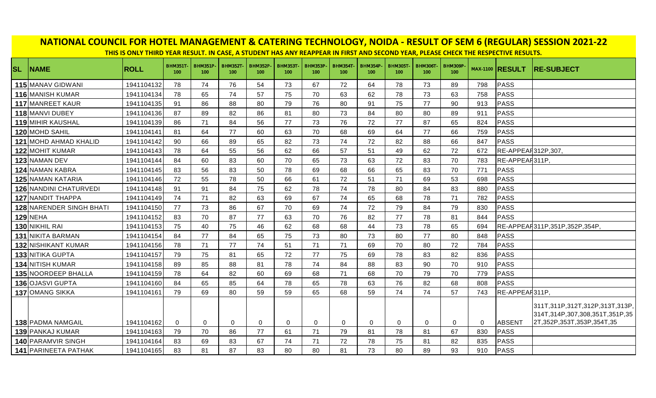|           | NATIONAL COUNCIL FOR HOTEL MANAGEMENT & CATERING TECHNOLOGY, NOIDA - RESULT OF SEM 6 (REGULAR) SESSION 2021-22<br>THIS IS ONLY THIRD YEAR RESULT. IN CASE, A STUDENT HAS ANY REAPPEAR IN FIRST AND SECOND YEAR, PLEASE CHECK THE RESPECTIVE RESULTS. |             |                        |                       |                       |                                    |                       |                        |                       |                       |                       |                                    |                       |             |                        |                                                                                                |
|-----------|------------------------------------------------------------------------------------------------------------------------------------------------------------------------------------------------------------------------------------------------------|-------------|------------------------|-----------------------|-----------------------|------------------------------------|-----------------------|------------------------|-----------------------|-----------------------|-----------------------|------------------------------------|-----------------------|-------------|------------------------|------------------------------------------------------------------------------------------------|
| <b>SL</b> | <b>NAME</b>                                                                                                                                                                                                                                          | <b>ROLL</b> | <b>BHM351T-</b><br>100 | <b>BHM351P</b><br>100 | <b>BHM352T</b><br>100 | <b>BHM352P</b><br>100 <sub>1</sub> | <b>BHM353T</b><br>100 | <b>BHM353P-</b><br>100 | <b>BHM354T</b><br>100 | <b>BHM354P</b><br>100 | <b>BHM305T</b><br>100 | <b>BHM306T</b><br>100 <sub>1</sub> | <b>BHM309P</b><br>100 |             | <b>MAX-1100 RESULT</b> | <b>IRE-SUBJECT</b>                                                                             |
|           | 115 MANAV GIDWANI                                                                                                                                                                                                                                    | 1941104132  | 78                     | 74                    | 76                    | 54                                 | 73                    | 67                     | 72                    | 64                    | 78                    | 73                                 | 89                    | 798         | PASS                   |                                                                                                |
|           | 116 MANISH KUMAR                                                                                                                                                                                                                                     | 1941104134  | 78                     | 65                    | 74                    | 57                                 | 75                    | 70                     | 63                    | 62                    | 78                    | 73                                 | 63                    | 758         | <b>PASS</b>            |                                                                                                |
|           | 117 MANREET KAUR                                                                                                                                                                                                                                     | 1941104135  | 91                     | 86                    | 88                    | 80                                 | 79                    | 76                     | 80                    | 91                    | 75                    | 77                                 | 90                    | 913         | <b>PASS</b>            |                                                                                                |
|           | 118 MANVI DUBEY                                                                                                                                                                                                                                      | 1941104136  | 87                     | 89                    | 82                    | 86                                 | 81                    | 80                     | 73                    | 84                    | 80                    | 80                                 | 89                    | 911         | <b>PASS</b>            |                                                                                                |
|           | <b>119 MIHIR KAUSHAL</b>                                                                                                                                                                                                                             | 1941104139  | 86                     | 71                    | 84                    | 56                                 | 77                    | 73                     | 76                    | 72                    | 77                    | 87                                 | 65                    | 824         | PASS                   |                                                                                                |
|           | 120 MOHD SAHIL                                                                                                                                                                                                                                       | 1941104141  | 81                     | 64                    | 77                    | 60                                 | 63                    | 70                     | 68                    | 69                    | 64                    | 77                                 | 66                    | 759         | <b>PASS</b>            |                                                                                                |
|           | 121 MOHD AHMAD KHALID                                                                                                                                                                                                                                | 1941104142  | 90                     | 66                    | 89                    | 65                                 | 82                    | 73                     | 74                    | 72                    | 82                    | 88                                 | 66                    | 847         | <b>PASS</b>            |                                                                                                |
|           | 122 MOHIT KUMAR                                                                                                                                                                                                                                      | 1941104143  | 78                     | 64                    | 55                    | 56                                 | 62                    | 66                     | 57                    | 51                    | 49                    | 62                                 | 72                    | 672         | RE-APPEAF312P,307,     |                                                                                                |
|           | 123 NAMAN DEV                                                                                                                                                                                                                                        | 1941104144  | 84                     | 60                    | 83                    | 60                                 | 70                    | 65                     | 73                    | 63                    | 72                    | 83                                 | 70                    | 783         | RE-APPEAR311P.         |                                                                                                |
|           | 124 NAMAN KABRA                                                                                                                                                                                                                                      | 1941104145  | 83                     | 56                    | 83                    | 50                                 | 78                    | 69                     | 68                    | 66                    | 65                    | 83                                 | 70                    | 771         | PASS                   |                                                                                                |
|           | 125 NAMAN KATARIA                                                                                                                                                                                                                                    | 1941104146  | 72                     | 55                    | 78                    | 50                                 | 66                    | 61                     | 72                    | 51                    | 71                    | 69                                 | 53                    | 698         | <b>PASS</b>            |                                                                                                |
|           | 126 NANDINI CHATURVEDI                                                                                                                                                                                                                               | 1941104148  | 91                     | 91                    | 84                    | 75                                 | 62                    | 78                     | 74                    | 78                    | 80                    | 84                                 | 83                    | 880         | <b>PASS</b>            |                                                                                                |
|           | <b>127 NANDIT THAPPA</b>                                                                                                                                                                                                                             | 1941104149  | 74                     | 71                    | 82                    | 63                                 | 69                    | 67                     | 74                    | 65                    | 68                    | 78                                 | 71                    | 782         | <b>PASS</b>            |                                                                                                |
|           | 128 NARENDER SINGH BHATI                                                                                                                                                                                                                             | 1941104150  | 77                     | 73                    | 86                    | 67                                 | 70                    | 69                     | 74                    | 72                    | 79                    | 84                                 | 79                    | 830         | <b>PASS</b>            |                                                                                                |
|           | <b>129 NEHA</b>                                                                                                                                                                                                                                      | 1941104152  | 83                     | 70                    | 87                    | 77                                 | 63                    | 70                     | 76                    | 82                    | 77                    | 78                                 | 81                    | 844         | PASS                   |                                                                                                |
|           | 130 NIKHIL RAI                                                                                                                                                                                                                                       | 1941104153  | 75                     | 40                    | 75                    | 46                                 | 62                    | 68                     | 68                    | 44                    | 73                    | 78                                 | 65                    | 694         |                        | RE-APPEAR311P,351P,352P,354P,                                                                  |
|           | <b>131 NIKITA BARMAN</b>                                                                                                                                                                                                                             | 1941104154  | 84                     | 77                    | 84                    | 65                                 | 75                    | 73                     | 80                    | 73                    | 80                    | 77                                 | 80                    | 848         | <b>PASS</b>            |                                                                                                |
|           | 132 NISHIKANT KUMAR                                                                                                                                                                                                                                  | 1941104156  | 78                     | 71                    | 77                    | 74                                 | 51                    | 71                     | 71                    | 69                    | 70                    | 80                                 | 72                    | 784         | PASS                   |                                                                                                |
|           | 133 NITIKA GUPTA                                                                                                                                                                                                                                     | 1941104157  | 79                     | 75                    | 81                    | 65                                 | 72                    | 77                     | 75                    | 69                    | 78                    | 83                                 | 82                    | 836         | <b>PASS</b>            |                                                                                                |
|           | 134 NITISH KUMAR                                                                                                                                                                                                                                     | 1941104158  | 89                     | 85                    | 88                    | 81                                 | 78                    | 74                     | 84                    | 88                    | 83                    | 90                                 | 70                    | 910         | PASS                   |                                                                                                |
|           | 135 NOORDEEP BHALLA                                                                                                                                                                                                                                  | 1941104159  | 78                     | 64                    | 82                    | 60                                 | 69                    | 68                     | 71                    | 68                    | 70                    | 79                                 | 70                    | 779         | <b>PASS</b>            |                                                                                                |
|           | 136 OJASVI GUPTA                                                                                                                                                                                                                                     | 1941104160  | 84                     | 65                    | 85                    | 64                                 | 78                    | 65                     | 78                    | 63                    | 76                    | 82                                 | 68                    | 808         | <b>PASS</b>            |                                                                                                |
|           | 137 OMANG SIKKA                                                                                                                                                                                                                                      | 1941104161  | 79                     | 69                    | 80                    | 59                                 | 59                    | 65                     | 68                    | 59                    | 74                    | 74                                 | 57                    | 743         | RE-APPEAR311P          |                                                                                                |
|           | 138 PADMA NAMGAIL                                                                                                                                                                                                                                    | 1941104162  | $\Omega$               | 0                     | $\mathbf 0$           | 0                                  | 0                     | $\mathbf 0$            | $\mathbf 0$           | 0                     | $\mathbf 0$           | $\mathbf 0$                        | 0                     | $\mathbf 0$ | ABSENT                 | 311T,311P,312T,312P,313T,313P, <br>314T,314P,307,308,351T,351P,35<br>2T,352P,353T,353P,354T,35 |
|           | 139 PANKAJ KUMAR                                                                                                                                                                                                                                     | 1941104163  | 79                     | 70                    | 86                    | 77                                 | 61                    | 71                     | 79                    | 81                    | 78                    | 81                                 | 67                    | 830         | PASS                   |                                                                                                |
|           | <b>140 PARAMVIR SINGH</b>                                                                                                                                                                                                                            | 1941104164  | 83                     | 69                    | 83                    | 67                                 | 74                    | 71                     | 72                    | 78                    | 75                    | 81                                 | 82                    | 835         | <b>PASS</b>            |                                                                                                |
|           | 141 PARINEETA PATHAK                                                                                                                                                                                                                                 | 1941104165  | 83                     | 81                    | 87                    | 83                                 | 80                    | 80                     | 81                    | 73                    | 80                    | 89                                 | 93                    | 910         | PASS                   |                                                                                                |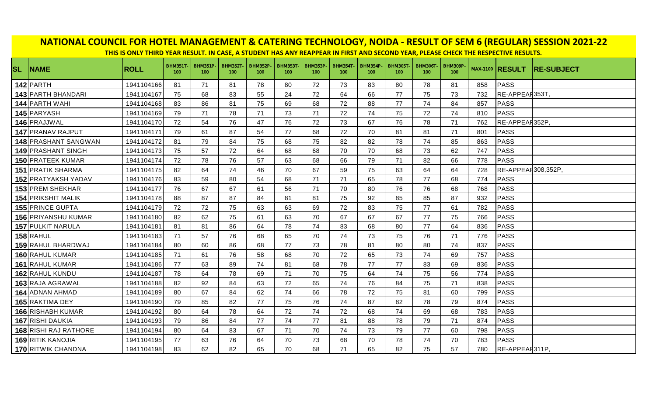|           | THIS IS ONLY THIRD YEAR RESULT. IN CASE, A STUDENT HAS ANY REAPPEAR IN FIRST AND SECOND YEAR, PLEASE CHECK THE RESPECTIVE RESULTS. |             |                        |                       |                                    |                       |                       |                       |                                    |                                     |                       |                                    |                                    |     |                        |                   |
|-----------|------------------------------------------------------------------------------------------------------------------------------------|-------------|------------------------|-----------------------|------------------------------------|-----------------------|-----------------------|-----------------------|------------------------------------|-------------------------------------|-----------------------|------------------------------------|------------------------------------|-----|------------------------|-------------------|
| <b>SL</b> | <b>NAME</b>                                                                                                                        | <b>ROLL</b> | <b>BHM351T-</b><br>100 | <b>BHM351P</b><br>100 | <b>BHM352T</b><br>100 <sub>1</sub> | <b>BHM352P</b><br>100 | <b>BHM353T</b><br>100 | <b>BHM353P</b><br>100 | <b>BHM354T</b><br>100 <sub>1</sub> | <b>BHM354P-</b><br>100 <sub>1</sub> | <b>BHM305T</b><br>100 | <b>BHM306T</b><br>100 <sub>1</sub> | <b>BHM309P</b><br>100 <sub>1</sub> |     | <b>MAX-1100 RESULT</b> | <b>RE-SUBJECT</b> |
|           | 142 PARTH                                                                                                                          | 1941104166  | 81                     | 71                    | 81                                 | 78                    | 80                    | 72                    | 73                                 | 83                                  | 80                    | 78                                 | 81                                 | 858 | <b>PASS</b>            |                   |
|           | 143 PARTH BHANDARI                                                                                                                 | 1941104167  | 75                     | 68                    | 83                                 | 55                    | 24                    | 72                    | 64                                 | 66                                  | 77                    | 75                                 | 73                                 | 732 | RE-APPEAR353T,         |                   |
|           | 144 PARTH WAHI                                                                                                                     | 1941104168  | 83                     | 86                    | 81                                 | 75                    | 69                    | 68                    | 72                                 | 88                                  | 77                    | 74                                 | 84                                 | 857 | PASS                   |                   |
|           | 145 PARYASH                                                                                                                        | 1941104169  | 79                     | 71                    | 78                                 | 71                    | 73                    | 71                    | 72                                 | 74                                  | 75                    | 72                                 | 74                                 | 810 | PASS                   |                   |
|           | 146 PRAJJWAL                                                                                                                       | 1941104170  | 72                     | 54                    | 76                                 | 47                    | 76                    | 72                    | 73                                 | 67                                  | 76                    | 78                                 | 71                                 | 762 | RE-APPEAR352P,         |                   |
|           | 147 PRANAV RAJPUT                                                                                                                  | 1941104171  | 79                     | 61                    | 87                                 | 54                    | 77                    | 68                    | 72                                 | 70                                  | 81                    | 81                                 | 71                                 | 801 | <b>PASS</b>            |                   |
|           | 148 PRASHANT SANGWAN                                                                                                               | 1941104172  | 81                     | 79                    | 84                                 | 75                    | 68                    | 75                    | 82                                 | 82                                  | 78                    | 74                                 | 85                                 | 863 | PASS                   |                   |
|           | 149 PRASHANT SINGH                                                                                                                 | 1941104173  | 75                     | 57                    | 72                                 | 64                    | 68                    | 68                    | 70                                 | 70                                  | 68                    | 73                                 | 62                                 | 747 | PASS                   |                   |
|           | 150 PRATEEK KUMAR                                                                                                                  | 1941104174  | 72                     | 78                    | 76                                 | 57                    | 63                    | 68                    | 66                                 | 79                                  | 71                    | 82                                 | 66                                 | 778 | <b>PASS</b>            |                   |
|           | <b>151 PRATIK SHARMA</b>                                                                                                           | 1941104175  | 82                     | 64                    | 74                                 | 46                    | 70                    | 67                    | 59                                 | 75                                  | 63                    | 64                                 | 64                                 | 728 | RE-APPEAR308,352P,     |                   |
|           | <b>152 PRATYAKSH YADAV</b>                                                                                                         | 1941104176  | 83                     | 59                    | 80                                 | 54                    | 68                    | 71                    | 71                                 | 65                                  | 78                    | 77                                 | 68                                 | 774 | PASS                   |                   |
|           | 153 PREM SHEKHAR                                                                                                                   | 1941104177  | 76                     | 67                    | 67                                 | 61                    | 56                    | 71                    | 70                                 | 80                                  | 76                    | 76                                 | 68                                 | 768 | PASS                   |                   |
|           | <b>154 PRIKSHIT MALIK</b>                                                                                                          | 1941104178  | 88                     | 87                    | 87                                 | 84                    | 81                    | 81                    | 75                                 | 92                                  | 85                    | 85                                 | 87                                 | 932 | PASS                   |                   |
|           | 155 PRINCE GUPTA                                                                                                                   | 1941104179  | 72                     | 72                    | 75                                 | 63                    | 63                    | 69                    | 72                                 | 83                                  | 75                    | 77                                 | 61                                 | 782 | PASS                   |                   |
|           | <b>156 PRIYANSHU KUMAR</b>                                                                                                         | 1941104180  | 82                     | 62                    | 75                                 | 61                    | 63                    | 70                    | 67                                 | 67                                  | 67                    | 77                                 | 75                                 | 766 | PASS                   |                   |
|           | 157 PULKIT NARULA                                                                                                                  | 1941104181  | 81                     | 81                    | 86                                 | 64                    | 78                    | 74                    | 83                                 | 68                                  | 80                    | 77                                 | 64                                 | 836 | PASS                   |                   |
|           | 158 RAHUL                                                                                                                          | 1941104183  | 71                     | 57                    | 76                                 | 68                    | 65                    | 70                    | 74                                 | 73                                  | 75                    | 76                                 | 71                                 | 776 | PASS                   |                   |
|           | 159 RAHUL BHARDWAJ                                                                                                                 | 1941104184  | 80                     | 60                    | 86                                 | 68                    | 77                    | 73                    | 78                                 | 81                                  | 80                    | 80                                 | 74                                 | 837 | PASS                   |                   |
|           | 160 RAHUL KUMAR                                                                                                                    | 1941104185  | 71                     | 61                    | 76                                 | 58                    | 68                    | 70                    | 72                                 | 65                                  | 73                    | 74                                 | 69                                 | 757 | PASS                   |                   |
|           | 161 RAHUL KUMAR                                                                                                                    | 1941104186  | 77                     | 63                    | 89                                 | 74                    | 81                    | 68                    | 78                                 | 77                                  | 77                    | 83                                 | 69                                 | 836 | PASS                   |                   |
|           | 162 RAHUL KUNDU                                                                                                                    | 1941104187  | 78                     | 64                    | 78                                 | 69                    | 71                    | 70                    | 75                                 | 64                                  | 74                    | 75                                 | 56                                 | 774 | PASS                   |                   |
|           | 163 RAJA AGRAWAL                                                                                                                   | 1941104188  | 82                     | 92                    | 84                                 | 63                    | 72                    | 65                    | 74                                 | 76                                  | 84                    | 75                                 | 71                                 | 838 | PASS                   |                   |
|           | 164 ADNAN AHMAD                                                                                                                    | 1941104189  | 80                     | 67                    | 84                                 | 62                    | 74                    | 66                    | 78                                 | 72                                  | 75                    | 81                                 | 60                                 | 799 | PASS                   |                   |
|           | 165 RAKTIMA DEY                                                                                                                    | 1941104190  | 79                     | 85                    | 82                                 | 77                    | 75                    | 76                    | 74                                 | 87                                  | 82                    | 78                                 | 79                                 | 874 | PASS                   |                   |
|           | <b>166 RISHABH KUMAR</b>                                                                                                           | 1941104192  | 80                     | 64                    | 78                                 | 64                    | 72                    | 74                    | 72                                 | 68                                  | 74                    | 69                                 | 68                                 | 783 | PASS                   |                   |
|           | 167 RISHI DAUKIA                                                                                                                   | 1941104193  | 79                     | 86                    | 84                                 | 77                    | 74                    | 77                    | 81                                 | 88                                  | 78                    | 79                                 | 71                                 | 874 | PASS                   |                   |
|           | <b>168 RISHI RAJ RATHORE</b>                                                                                                       | 1941104194  | 80                     | 64                    | 83                                 | 67                    | 71                    | 70                    | 74                                 | 73                                  | 79                    | 77                                 | 60                                 | 798 | PASS                   |                   |
|           | <b>169 RITIK KANOJIA</b>                                                                                                           | 1941104195  | 77                     | 63                    | 76                                 | 64                    | 70                    | 73                    | 68                                 | 70                                  | 78                    | 74                                 | 70                                 | 783 | PASS                   |                   |
|           | 170 RITWIK CHANDNA                                                                                                                 | 1941104198  | 83                     | 62                    | 82                                 | 65                    | 70                    | 68                    | 71                                 | 65                                  | 82                    | 75                                 | 57                                 | 780 | RE-APPEAR311P,         |                   |

## **NATIONAL COUNCIL FOR HOTEL MANAGEMENT & CATERING TECHNOLOGY, NOIDA - RESULT OF SEM 6 (REGULAR) SESSION 2021-22**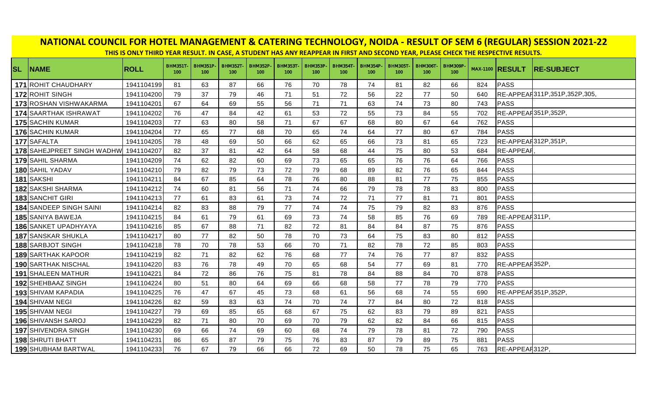|           | NATIONAL COUNCIL FOR HOTEL MANAGEMENT & CATERING TECHNOLOGY, NOIDA - RESULT OF SEM 6 (REGULAR) SESSION 2021-22<br>THIS IS ONLY THIRD YEAR RESULT. IN CASE, A STUDENT HAS ANY REAPPEAR IN FIRST AND SECOND YEAR, PLEASE CHECK THE RESPECTIVE RESULTS. |             |                        |                       |                       |                                    |                       |                        |                       |                       |                       |                                    |                       |     |                        |                              |
|-----------|------------------------------------------------------------------------------------------------------------------------------------------------------------------------------------------------------------------------------------------------------|-------------|------------------------|-----------------------|-----------------------|------------------------------------|-----------------------|------------------------|-----------------------|-----------------------|-----------------------|------------------------------------|-----------------------|-----|------------------------|------------------------------|
| <b>SL</b> | <b>NAME</b>                                                                                                                                                                                                                                          | <b>ROLL</b> | <b>BHM351T-</b><br>100 | <b>BHM351P</b><br>100 | <b>BHM352T</b><br>100 | <b>BHM352P</b><br>100 <sub>1</sub> | <b>BHM353T</b><br>100 | <b>BHM353P-</b><br>100 | <b>BHM354T</b><br>100 | <b>BHM354P</b><br>100 | <b>BHM305T</b><br>100 | <b>BHM306T</b><br>100 <sub>1</sub> | <b>BHM309P</b><br>100 |     | <b>MAX-1100 RESULT</b> | <b>RE-SUBJECT</b>            |
|           | 171 ROHIT CHAUDHARY                                                                                                                                                                                                                                  | 1941104199  | 81                     | 63                    | 87                    | 66                                 | 76                    | 70                     | 78                    | 74                    | 81                    | 82                                 | 66                    | 824 | PASS                   |                              |
|           | 172 ROHIT SINGH                                                                                                                                                                                                                                      | 1941104200  | 79                     | 37                    | 79                    | 46                                 | 71                    | 51                     | 72                    | 56                    | 22                    | 77                                 | 50                    | 640 |                        | RE-APPEAH311P,351P,352P,305. |
|           | 173 ROSHAN VISHWAKARMA                                                                                                                                                                                                                               | 1941104201  | 67                     | 64                    | 69                    | 55                                 | 56                    | 71                     | 71                    | 63                    | 74                    | 73                                 | 80                    | 743 | PASS                   |                              |
|           | 174 SAARTHAK ISHRAWAT                                                                                                                                                                                                                                | 1941104202  | 76                     | 47                    | 84                    | 42                                 | 61                    | 53                     | 72                    | 55                    | 73                    | 84                                 | 55                    | 702 | RE-APPEAR351P,352P,    |                              |
|           | 175 SACHIN KUMAR                                                                                                                                                                                                                                     | 1941104203  | 77                     | 63                    | 80                    | 58                                 | 71                    | 67                     | 67                    | 68                    | 80                    | 67                                 | 64                    | 762 | <b>PASS</b>            |                              |
|           | 176 SACHIN KUMAR                                                                                                                                                                                                                                     | 1941104204  | 77                     | 65                    | 77                    | 68                                 | 70                    | 65                     | 74                    | 64                    | 77                    | 80                                 | 67                    | 784 | <b>PASS</b>            |                              |
|           | 177 SAFALTA                                                                                                                                                                                                                                          | 1941104205  | 78                     | 48                    | 69                    | 50                                 | 66                    | 62                     | 65                    | 66                    | 73                    | 81                                 | 65                    | 723 | RE-APPEAR312P,351P     |                              |
|           | <b>178</b> SAHEJPREET SINGH WADHW                                                                                                                                                                                                                    | 1941104207  | 82                     | 37                    | 81                    | 42                                 | 64                    | 58                     | 68                    | 44                    | 75                    | 80                                 | 53                    | 684 | <b>RE-APPEAF</b>       |                              |
|           | 179 SAHIL SHARMA                                                                                                                                                                                                                                     | 1941104209  | 74                     | 62                    | 82                    | 60                                 | 69                    | 73                     | 65                    | 65                    | 76                    | 76                                 | 64                    | 766 | <b>PASS</b>            |                              |
|           | 180 SAHIL YADAV                                                                                                                                                                                                                                      | 1941104210  | 79                     | 82                    | 79                    | 73                                 | 72                    | 79                     | 68                    | 89                    | 82                    | 76                                 | 65                    | 844 | <b>PASS</b>            |                              |
|           | 181 SAKSHI                                                                                                                                                                                                                                           | 1941104211  | 84                     | 67                    | 85                    | 64                                 | 78                    | 76                     | 80                    | 88                    | 81                    | 77                                 | 75                    | 855 | <b>PASS</b>            |                              |
|           | 182 SAKSHI SHARMA                                                                                                                                                                                                                                    | 1941104212  | 74                     | 60                    | 81                    | 56                                 | 71                    | 74                     | 66                    | 79                    | 78                    | 78                                 | 83                    | 800 | PASS                   |                              |
|           | <b>183 SANCHIT GIRI</b>                                                                                                                                                                                                                              | 1941104213  | 77                     | 61                    | 83                    | 61                                 | 73                    | 74                     | 72                    | 71                    | 77                    | 81                                 | 71                    | 801 | PASS                   |                              |
|           | 184 SANDEEP SINGH SAINI                                                                                                                                                                                                                              | 1941104214  | 82                     | 83                    | 88                    | 79                                 | 77                    | 74                     | 74                    | 75                    | 79                    | 82                                 | 83                    | 876 | <b>PASS</b>            |                              |
|           | 185 SANIYA BAWEJA                                                                                                                                                                                                                                    | 1941104215  | 84                     | 61                    | 79                    | 61                                 | 69                    | 73                     | 74                    | 58                    | 85                    | 76                                 | 69                    | 789 | RE-APPEAR311P,         |                              |
|           | <b>186 SANKET UPADHYAYA</b>                                                                                                                                                                                                                          | 1941104216  | 85                     | 67                    | 88                    | 71                                 | 82                    | 72                     | 81                    | 84                    | 84                    | 87                                 | 75                    | 876 | <b>PASS</b>            |                              |
|           | 187 SANSKAR SHUKLA                                                                                                                                                                                                                                   | 1941104217  | 80                     | 77                    | 82                    | 50                                 | 78                    | 70                     | 73                    | 64                    | 75                    | 83                                 | 80                    | 812 | PASS                   |                              |
|           | 188 SARBJOT SINGH                                                                                                                                                                                                                                    | 1941104218  | 78                     | 70                    | 78                    | 53                                 | 66                    | 70                     | 71                    | 82                    | 78                    | 72                                 | 85                    | 803 | <b>PASS</b>            |                              |
|           | <b>189 SARTHAK KAPOOR</b>                                                                                                                                                                                                                            | 1941104219  | 82                     | 71                    | 82                    | 62                                 | 76                    | 68                     | 77                    | 74                    | 76                    | 77                                 | 87                    | 832 | <b>PASS</b>            |                              |
|           | 190 SARTHAK NISCHAL                                                                                                                                                                                                                                  | 1941104220  | 83                     | 76                    | 78                    | 49                                 | 70                    | 65                     | 68                    | 54                    | 77                    | 69                                 | 81                    | 770 | RE-APPEAR352P.         |                              |
|           | <b>191 SHALEEN MATHUR</b>                                                                                                                                                                                                                            | 1941104221  | 84                     | 72                    | 86                    | 76                                 | 75                    | 81                     | 78                    | 84                    | 88                    | 84                                 | 70                    | 878 | <b>PASS</b>            |                              |
|           | 192 SHEHBAAZ SINGH                                                                                                                                                                                                                                   | 1941104224  | 80                     | 51                    | 80                    | 64                                 | 69                    | 66                     | 68                    | 58                    | 77                    | 78                                 | 79                    | 770 | PASS                   |                              |
|           | <b>193 SHIVAM KAPADIA</b>                                                                                                                                                                                                                            | 1941104225  | 76                     | 47                    | 67                    | 45                                 | 73                    | 68                     | 61                    | 56                    | 68                    | 74                                 | 55                    | 690 | RE-APPEAF351P,352P     |                              |
|           | 194 SHIVAM NEGI                                                                                                                                                                                                                                      | 1941104226  | 82                     | 59                    | 83                    | 63                                 | 74                    | 70                     | 74                    | 77                    | 84                    | 80                                 | 72                    | 818 | <b>PASS</b>            |                              |
|           | 195 SHIVAM NEGI                                                                                                                                                                                                                                      | 1941104227  | 79                     | 69                    | 85                    | 65                                 | 68                    | 67                     | 75                    | 62                    | 83                    | 79                                 | 89                    | 821 | <b>PASS</b>            |                              |
|           | 196 SHIVANSH SAROJ                                                                                                                                                                                                                                   | 1941104229  | 82                     | 71                    | 80                    | 70                                 | 69                    | 70                     | 79                    | 62                    | 82                    | 84                                 | 66                    | 815 | PASS                   |                              |
|           | 197 SHIVENDRA SINGH                                                                                                                                                                                                                                  | 1941104230  | 69                     | 66                    | 74                    | 69                                 | 60                    | 68                     | 74                    | 79                    | 78                    | 81                                 | 72                    | 790 | PASS                   |                              |
|           | 198 SHRUTI BHATT                                                                                                                                                                                                                                     | 1941104231  | 86                     | 65                    | 87                    | 79                                 | 75                    | 76                     | 83                    | 87                    | 79                    | 89                                 | 75                    | 881 | <b>PASS</b>            |                              |
|           | 199 SHUBHAM BARTWAL                                                                                                                                                                                                                                  | 1941104233  | 76                     | 67                    | 79                    | 66                                 | 66                    | 72                     | 69                    | 50                    | 78                    | 75                                 | 65                    | 763 | RE-APPEAR312P,         |                              |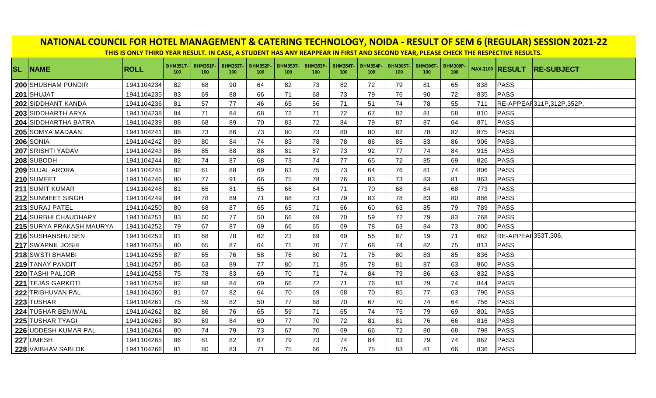|           | NATIONAL COUNCIL FOR HOTEL MANAGEMENT & CATERING TECHNOLOGY, NOIDA - RESULT OF SEM 6 (REGULAR) SESSION 2021-22<br>THIS IS ONLY THIRD YEAR RESULT. IN CASE, A STUDENT HAS ANY REAPPEAR IN FIRST AND SECOND YEAR, PLEASE CHECK THE RESPECTIVE RESULTS. |             |                                    |                       |                       |                       |                       |                        |                       |                        |                       |                       |                       |     |                        |                          |
|-----------|------------------------------------------------------------------------------------------------------------------------------------------------------------------------------------------------------------------------------------------------------|-------------|------------------------------------|-----------------------|-----------------------|-----------------------|-----------------------|------------------------|-----------------------|------------------------|-----------------------|-----------------------|-----------------------|-----|------------------------|--------------------------|
| <b>SL</b> | <b>NAME</b>                                                                                                                                                                                                                                          | <b>ROLL</b> | <b>BHM351T</b><br>100 <sub>1</sub> | <b>BHM351P</b><br>100 | <b>BHM352T</b><br>100 | <b>BHM352P</b><br>100 | <b>BHM353T</b><br>100 | <b>BHM353P-</b><br>100 | <b>BHM354T</b><br>100 | <b>BHM354P-</b><br>100 | <b>BHM305T</b><br>100 | <b>BHM306T</b><br>100 | <b>BHM309P</b><br>100 |     | <b>MAX-1100 RESULT</b> | <b>RE-SUBJECT</b>        |
|           | 200 SHUBHAM PUNDIR                                                                                                                                                                                                                                   | 1941104234  | 82                                 | 68                    | 90                    | 64                    | 82                    | 73                     | 82                    | 72                     | 79                    | 81                    | 65                    | 838 | PASS                   |                          |
|           | 201 SHUJAT                                                                                                                                                                                                                                           | 1941104235  | 83                                 | 69                    | 88                    | 66                    | 71                    | 68                     | 73                    | 79                     | 76                    | 90                    | 72                    | 835 | PASS                   |                          |
|           | 202 SIDDHANT KANDA                                                                                                                                                                                                                                   | 1941104236  | 81                                 | 57                    | 77                    | 46                    | 65                    | 56                     | 71                    | 51                     | 74                    | 78                    | 55                    | 711 |                        | RE-APPEAR311P,312P,352P, |
|           | 203 SIDDHARTH ARYA                                                                                                                                                                                                                                   | 1941104238  | 84                                 | 71                    | 84                    | 68                    | 72                    | 71                     | 72                    | 67                     | 82                    | 81                    | 58                    | 810 | PASS                   |                          |
|           | 204 SIDDHARTHA BATRA                                                                                                                                                                                                                                 | 1941104239  | 88                                 | 68                    | 89                    | 70                    | 83                    | 72                     | 84                    | 79                     | 87                    | 87                    | 64                    | 871 | PASS                   |                          |
|           | 205 SOMYA MADAAN                                                                                                                                                                                                                                     | 1941104241  | 88                                 | 73                    | 86                    | 73                    | 80                    | 73                     | 80                    | 80                     | 82                    | 78                    | 82                    | 875 | PASS                   |                          |
|           | <b>206</b> SONIA                                                                                                                                                                                                                                     | 1941104242  | 89                                 | 80                    | 84                    | 74                    | 83                    | 78                     | 78                    | 86                     | 85                    | 83                    | 86                    | 906 | PASS                   |                          |
|           | 207 SRISHTI YADAV                                                                                                                                                                                                                                    | 1941104243  | 86                                 | 85                    | 88                    | 88                    | 81                    | 87                     | 73                    | 92                     | 77                    | 74                    | 84                    | 915 | PASS                   |                          |
|           | 208 SUBODH                                                                                                                                                                                                                                           | 1941104244  | 82                                 | 74                    | 87                    | 68                    | 73                    | 74                     | 77                    | 65                     | 72                    | 85                    | 69                    | 826 | PASS                   |                          |
|           | 209 SUJAL ARORA                                                                                                                                                                                                                                      | 1941104245  | 82                                 | 61                    | 88                    | 69                    | 63                    | 75                     | 73                    | 64                     | 76                    | 81                    | 74                    | 806 | PASS                   |                          |
|           | 210 SUMEET                                                                                                                                                                                                                                           | 1941104246  | 80                                 | 77                    | 91                    | 66                    | 75                    | 78                     | 76                    | 83                     | 73                    | 83                    | 81                    | 863 | PASS                   |                          |
|           | 211 SUMIT KUMAR                                                                                                                                                                                                                                      | 1941104248  | 81                                 | 65                    | 81                    | 55                    | 66                    | 64                     | 71                    | 70                     | 68                    | 84                    | 68                    | 773 | PASS                   |                          |
|           | 212 SUNMEET SINGH                                                                                                                                                                                                                                    | 1941104249  | 84                                 | 78                    | 89                    | 71                    | 88                    | 73                     | 79                    | 83                     | 78                    | 83                    | 80                    | 886 | PASS                   |                          |
|           | 213 SURAJ PATEL                                                                                                                                                                                                                                      | 1941104250  | 80                                 | 68                    | 87                    | 65                    | 65                    | 71                     | 66                    | 60                     | 63                    | 85                    | 79                    | 789 | PASS                   |                          |
|           | 214 SURBHI CHAUDHARY                                                                                                                                                                                                                                 | 1941104251  | 83                                 | 60                    | 77                    | 50                    | 66                    | 69                     | 70                    | 59                     | 72                    | 79                    | 83                    | 768 | PASS                   |                          |
|           | 215 SURYA PRAKASH MAURYA                                                                                                                                                                                                                             | 1941104252  | 79                                 | 67                    | 87                    | 69                    | 66                    | 65                     | 69                    | 78                     | 63                    | 84                    | 73                    | 800 | PASS                   |                          |
|           | 216 SUSHANSHU SEN                                                                                                                                                                                                                                    | 1941104253  | 81                                 | 68                    | 78                    | 62                    | 23                    | 69                     | 69                    | 55                     | 67                    | 19                    | 71                    | 662 | RE-APPEAR353T,306.     |                          |
|           | 217 SWAPNIL JOSHI                                                                                                                                                                                                                                    | 1941104255  | 80                                 | 65                    | 87                    | 64                    | 71                    | 70                     | 77                    | 68                     | 74                    | 82                    | 75                    | 813 | PASS                   |                          |
|           | 218 SWSTI BHAMBI                                                                                                                                                                                                                                     | 1941104256  | 87                                 | 65                    | 76                    | 58                    | 76                    | 80                     | 71                    | 75                     | 80                    | 83                    | 85                    | 836 | PASS                   |                          |
|           | 219 TANAY PANDIT                                                                                                                                                                                                                                     | 1941104257  | 86                                 | 63                    | 89                    | 77                    | 80                    | 71                     | 85                    | 78                     | 81                    | 87                    | 63                    | 860 | PASS                   |                          |
|           | 220 TASHI PALJOR                                                                                                                                                                                                                                     | 1941104258  | 75                                 | 78                    | 83                    | 69                    | 70                    | 71                     | 74                    | 84                     | 79                    | 86                    | 63                    | 832 | PASS                   |                          |
|           | 221 TEJAS GARKOTI                                                                                                                                                                                                                                    | 1941104259  | 82                                 | 88                    | 84                    | 69                    | 66                    | 72                     | 71                    | 76                     | 83                    | 79                    | 74                    | 844 | PASS                   |                          |
|           | 222 TRIBHUVAN PAL                                                                                                                                                                                                                                    | 1941104260  | 81                                 | 67                    | 82                    | 64                    | 70                    | 69                     | 68                    | 70                     | 85                    | 77                    | 63                    | 796 | PASS                   |                          |
|           | 223 TUSHAR                                                                                                                                                                                                                                           | 1941104261  | 75                                 | 59                    | 82                    | 50                    | 77                    | 68                     | 70                    | 67                     | 70                    | 74                    | 64                    | 756 | PASS                   |                          |
|           | 224 TUSHAR BENIWAL                                                                                                                                                                                                                                   | 1941104262  | 82                                 | 86                    | 76                    | 65                    | 59                    | 71                     | 65                    | 74                     | 75                    | 79                    | 69                    | 801 | PASS                   |                          |
|           | 225 TUSHAR TYAGI                                                                                                                                                                                                                                     | 1941104263  | 80                                 | 69                    | 84                    | 60                    | 77                    | 70                     | 72                    | 81                     | 81                    | 76                    | 66                    | 816 | PASS                   |                          |
|           | 226 UDDESH KUMAR PAL                                                                                                                                                                                                                                 | 1941104264  | 80                                 | 74                    | 79                    | 73                    | 67                    | 70                     | 69                    | 66                     | 72                    | 80                    | 68                    | 798 | PASS                   |                          |
|           | 227 UMESH                                                                                                                                                                                                                                            | 1941104265  | 86                                 | 81                    | 82                    | 67                    | 79                    | 73                     | 74                    | 84                     | 83                    | 79                    | 74                    | 862 | PASS                   |                          |
|           | 228 VAIBHAV SABLOK                                                                                                                                                                                                                                   | 1941104266  | 81                                 | 80                    | 83                    | 71                    | 75                    | 66                     | 75                    | 75                     | 83                    | 81                    | 66                    | 836 | PASS                   |                          |